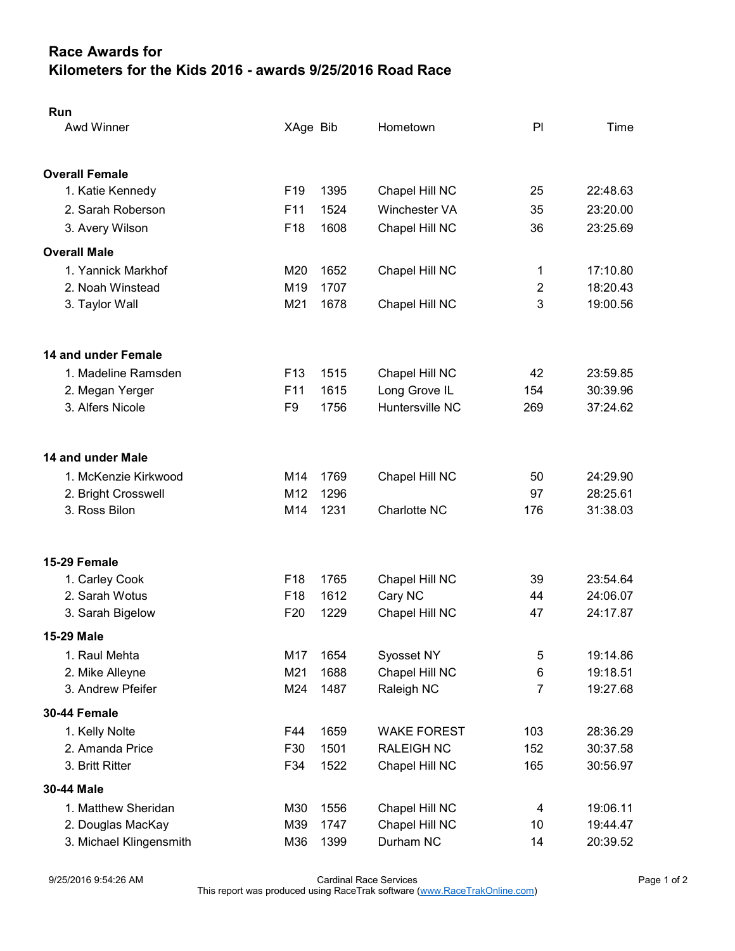## Race Awards for Kilometers for the Kids 2016 - awards 9/25/2016 Road Race

| Run                     |                 |      |                      |                |          |  |
|-------------------------|-----------------|------|----------------------|----------------|----------|--|
| Awd Winner              | XAge Bib        |      | Hometown             | PI             | Time     |  |
|                         |                 |      |                      |                |          |  |
| <b>Overall Female</b>   |                 |      |                      |                |          |  |
| 1. Katie Kennedy        | F <sub>19</sub> | 1395 | Chapel Hill NC       | 25             | 22:48.63 |  |
| 2. Sarah Roberson       | F <sub>11</sub> | 1524 | <b>Winchester VA</b> | 35             | 23:20.00 |  |
| 3. Avery Wilson         | F <sub>18</sub> | 1608 | Chapel Hill NC       | 36             | 23:25.69 |  |
| <b>Overall Male</b>     |                 |      |                      |                |          |  |
| 1. Yannick Markhof      | M20             | 1652 | Chapel Hill NC       | 1              | 17:10.80 |  |
| 2. Noah Winstead        | M <sub>19</sub> | 1707 |                      | $\overline{2}$ | 18:20.43 |  |
| 3. Taylor Wall          | M21             | 1678 | Chapel Hill NC       | 3              | 19:00.56 |  |
| 14 and under Female     |                 |      |                      |                |          |  |
| 1. Madeline Ramsden     | F <sub>13</sub> | 1515 | Chapel Hill NC       | 42             | 23:59.85 |  |
| 2. Megan Yerger         | F <sub>11</sub> | 1615 | Long Grove IL        | 154            | 30:39.96 |  |
| 3. Alfers Nicole        | F9              | 1756 | Huntersville NC      | 269            | 37:24.62 |  |
|                         |                 |      |                      |                |          |  |
| 14 and under Male       |                 |      |                      |                |          |  |
| 1. McKenzie Kirkwood    | M14             | 1769 | Chapel Hill NC       | 50             | 24:29.90 |  |
| 2. Bright Crosswell     | M <sub>12</sub> | 1296 |                      | 97             | 28:25.61 |  |
| 3. Ross Bilon           | M14             | 1231 | Charlotte NC         | 176            | 31:38.03 |  |
| 15-29 Female            |                 |      |                      |                |          |  |
| 1. Carley Cook          | F <sub>18</sub> | 1765 | Chapel Hill NC       | 39             | 23:54.64 |  |
| 2. Sarah Wotus          | F <sub>18</sub> | 1612 | Cary NC              | 44             | 24:06.07 |  |
| 3. Sarah Bigelow        | F <sub>20</sub> | 1229 | Chapel Hill NC       | 47             | 24:17.87 |  |
| 15-29 Male              |                 |      |                      |                |          |  |
| 1. Raul Mehta           | M17             | 1654 | Syosset NY           | 5              | 19:14.86 |  |
| 2. Mike Alleyne         | M21             | 1688 | Chapel Hill NC       | 6              | 19:18.51 |  |
| 3. Andrew Pfeifer       | M24             | 1487 | Raleigh NC           | $\overline{7}$ | 19:27.68 |  |
| 30-44 Female            |                 |      |                      |                |          |  |
| 1. Kelly Nolte          | F44             | 1659 | <b>WAKE FOREST</b>   | 103            | 28:36.29 |  |
| 2. Amanda Price         | F30             | 1501 | <b>RALEIGH NC</b>    | 152            | 30:37.58 |  |
| 3. Britt Ritter         | F34             | 1522 | Chapel Hill NC       | 165            | 30:56.97 |  |
| 30-44 Male              |                 |      |                      |                |          |  |
| 1. Matthew Sheridan     | M30             | 1556 | Chapel Hill NC       | 4              | 19:06.11 |  |
| 2. Douglas MacKay       | M39             | 1747 | Chapel Hill NC       | 10             | 19:44.47 |  |
| 3. Michael Klingensmith | M36             | 1399 | Durham NC            | 14             | 20:39.52 |  |